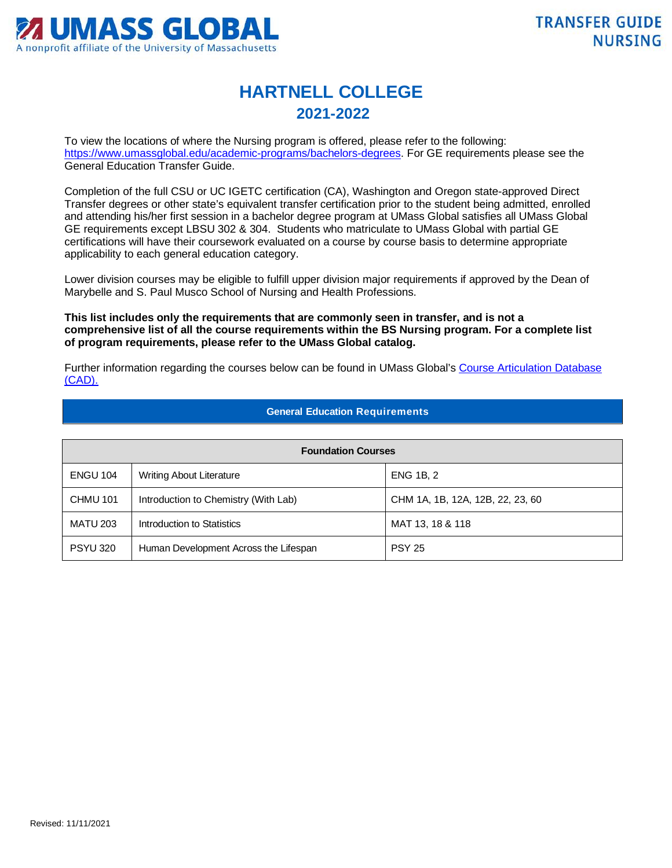

## **HARTNELL COLLEGE 2021-2022**

To view the locations of where the Nursing program is offered, please refer to the following: [https://www.umassglobal.edu/academic-programs/bachelors-degrees.](https://www.umassglobal.edu/academic-programs/bachelors-degrees) For GE requirements please see the General Education Transfer Guide.

Completion of the full CSU or UC IGETC certification (CA), Washington and Oregon state-approved Direct Transfer degrees or other state's equivalent transfer certification prior to the student being admitted, enrolled and attending his/her first session in a bachelor degree program at UMass Global satisfies all UMass Global GE requirements except LBSU 302 & 304. Students who matriculate to UMass Global with partial GE certifications will have their coursework evaluated on a course by course basis to determine appropriate applicability to each general education category.

Lower division courses may be eligible to fulfill upper division major requirements if approved by the Dean of Marybelle and S. Paul Musco School of Nursing and Health Professions.

**This list includes only the requirements that are commonly seen in transfer, and is not a comprehensive list of all the course requirements within the BS Nursing program. For a complete list of program requirements, please refer to the UMass Global catalog.**

Further information regarding the courses below can be found in UMass Global's Course Articulation Database [\(CAD\).](http://services.umassglobal.edu/studentservices/TransferCredit/) 

## **General Education Requirements**

| <b>Foundation Courses</b> |                                       |                                  |  |
|---------------------------|---------------------------------------|----------------------------------|--|
| <b>ENGU 104</b>           | <b>Writing About Literature</b>       | <b>ENG 1B, 2</b>                 |  |
| <b>CHMU 101</b>           | Introduction to Chemistry (With Lab)  | CHM 1A, 1B, 12A, 12B, 22, 23, 60 |  |
| <b>MATU 203</b>           | Introduction to Statistics            | MAT 13, 18 & 118                 |  |
| <b>PSYU 320</b>           | Human Development Across the Lifespan | <b>PSY 25</b>                    |  |